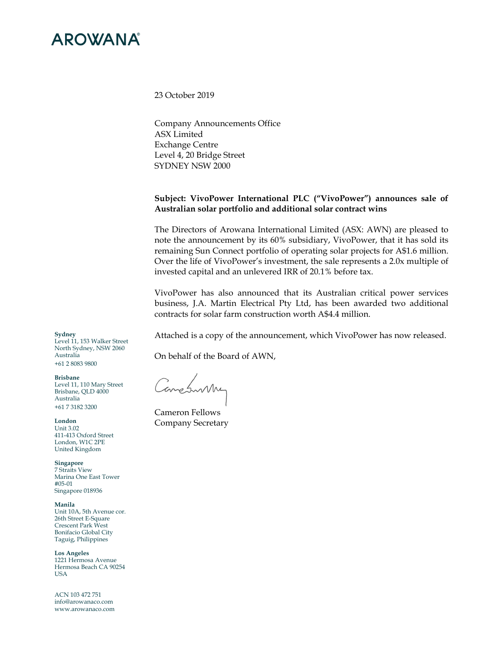

23 October 2019

Company Announcements Office ASX Limited Exchange Centre Level 4, 20 Bridge Street SYDNEY NSW 2000

## **Subject: VivoPower International PLC ("VivoPower") announces sale of Australian solar portfolio and additional solar contract wins**

The Directors of Arowana International Limited (ASX: AWN) are pleased to note the announcement by its 60% subsidiary, VivoPower, that it has sold its remaining Sun Connect portfolio of operating solar projects for A\$1.6 million. Over the life of VivoPower's investment, the sale represents a 2.0x multiple of invested capital and an unlevered IRR of 20.1% before tax.

VivoPower has also announced that its Australian critical power services business, J.A. Martin Electrical Pty Ltd, has been awarded two additional contracts for solar farm construction worth A\$4.4 million.

Attached is a copy of the announcement, which VivoPower has now released.

On behalf of the Board of AWN,

Comeswithy

Cameron Fellows Company Secretary

**Sydney** 

Level 11, 153 Walker Street North Sydney, NSW 2060 Australia +61 2 8083 9800

**Brisbane** 

Level 11, 110 Mary Street Brisbane, QLD 4000 Australia +61 7 3182 3200

**London**  Unit 3.02 411-413 Oxford Street London, W1C 2PE United Kingdom

**Singapore**  7 Straits View Marina One East Tower #05-01 Singapore 018936

**Manila**  Unit 10A, 5th Avenue cor. 26th Street E-Square Crescent Park West Bonifacio Global City Taguig, Philippines

**Los Angeles**  1221 Hermosa Avenue Hermosa Beach CA 90254 USA

ACN 103 472 751 info@arowanaco.com www.arowanaco.com